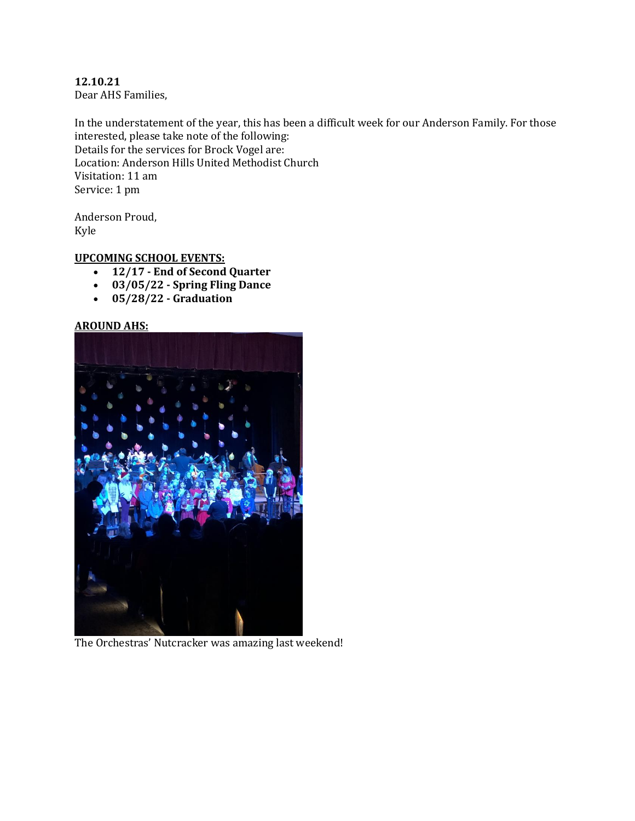**12.10.21** Dear AHS Families,

In the understatement of the year, this has been a difficult week for our Anderson Family. For those interested, please take note of the following: Details for the services for Brock Vogel are: Location: Anderson Hills United Methodist Church Visitation: 11 am Service: 1 pm

Anderson Proud, Kyle

# **UPCOMING SCHOOL EVENTS:**

- **12/17 - End of Second Quarter**
- **03/05/22 - Spring Fling Dance**
- **05/28/22 - Graduation**

### **AROUND AHS:**



The Orchestras' Nutcracker was amazing last weekend!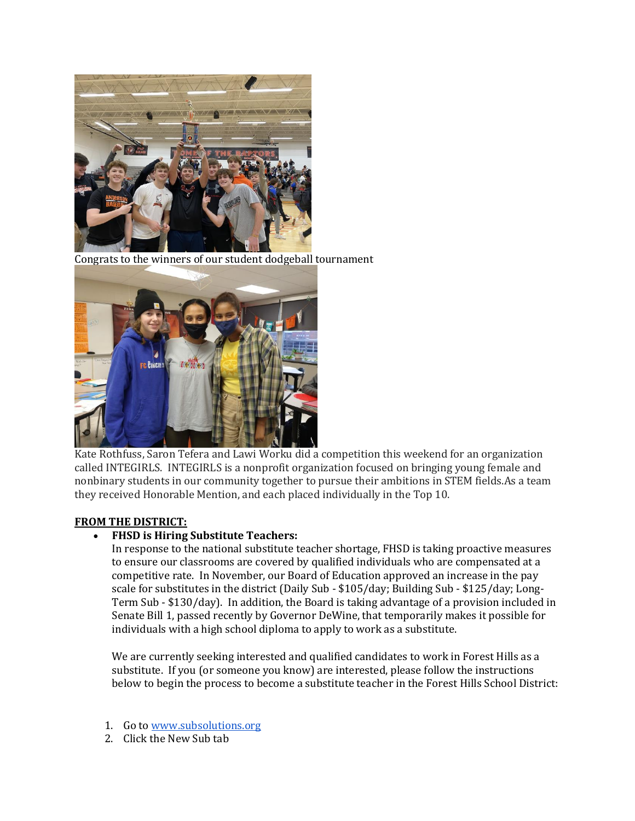

Congrats to the winners of our student dodgeball tournament



Kate Rothfuss, Saron Tefera and Lawi Worku did a competition this weekend for an organization called INTEGIRLS. INTEGIRLS is a nonprofit organization focused on bringing young female and nonbinary students in our community together to pursue their ambitions in STEM fields.As a team they received Honorable Mention, and each placed individually in the Top 10.

# **FROM THE DISTRICT:**

# **FHSD is Hiring Substitute Teachers:**

In response to the national substitute teacher shortage, FHSD is taking proactive measures to ensure our classrooms are covered by qualified individuals who are compensated at a competitive rate. In November, our Board of Education approved an increase in the pay scale for substitutes in the district (Daily Sub - \$105/day; Building Sub - \$125/day; Long-Term Sub - \$130/day). In addition, the Board is taking advantage of a provision included in Senate Bill 1, passed recently by Governor DeWine, that temporarily makes it possible for individuals with a high school diploma to apply to work as a substitute.

We are currently seeking interested and qualified candidates to work in Forest Hills as a substitute. If you (or someone you know) are interested, please follow the instructions below to begin the process to become a substitute teacher in the Forest Hills School District:

- 1. Go to [www.subsolutions.org](http://www.subsolutions.org/)
- 2. Click the New Sub tab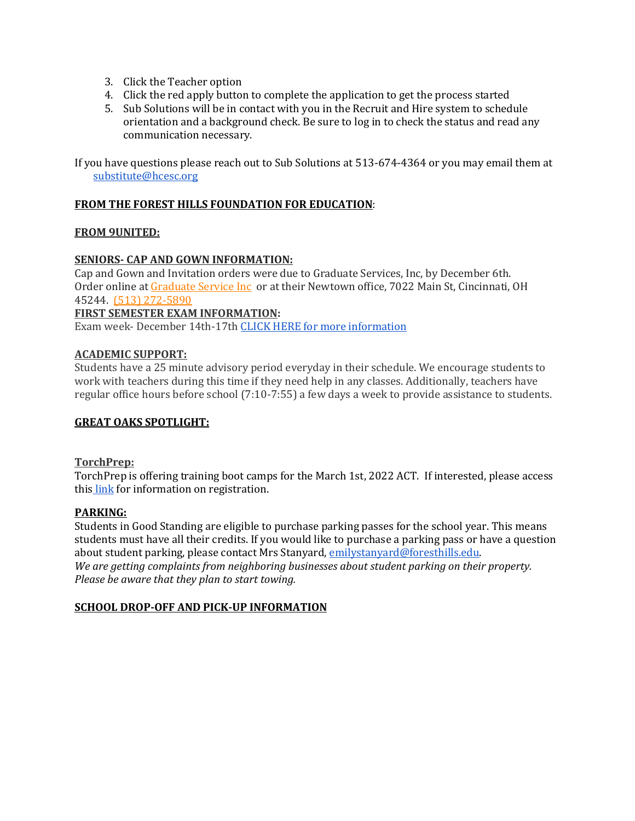- 3. Click the Teacher option
- 4. Click the red apply button to complete the application to get the process started
- 5. Sub Solutions will be in contact with you in the Recruit and Hire system to schedule orientation and a background check. Be sure to log in to check the status and read any communication necessary.

If you have questions please reach out to Sub Solutions at 513-674-4364 or you may email them at substitute@hcesc.org

#### **FROM THE FOREST HILLS FOUNDATION FOR EDUCATION**:

### **FROM 9UNITED:**

### **SENIORS- CAP AND GOWN INFORMATION:**

Cap and Gown and Invitation orders were due to Graduate Services, Inc, by December 6th. Order online a[t Graduate Service Inc](https://highschool.herffjones.com/secom/home) or at their Newtown office, 7022 Main St, Cincinnati, OH 45244. [\(513\) 272-5890](https://www.google.com/search?q=graduate+service+inc&rlz=1C1GCEV_en&oq=&aqs=chrome.0.69i59i450l7.65298j0j7&sourceid=chrome&ie=UTF-8)

#### **FIRST SEMESTER EXAM INFORMATION:**

Exam week- December 14th-17th [CLICK HERE for more information](https://docs.google.com/document/d/15_Z0HWxyL4gCEXrNMIMHIMDNpJdxk01rBqXNd9szeBw/edit?usp=sharing)

#### **ACADEMIC SUPPORT:**

Students have a 25 minute advisory period everyday in their schedule. We encourage students to work with teachers during this time if they need help in any classes. Additionally, teachers have regular office hours before school (7:10-7:55) a few days a week to provide assistance to students.

# **GREAT OAKS SPOTLIGHT:**

#### **TorchPrep:**

TorchPrep is offering training boot camps for the March 1st, 2022 ACT. If interested, please access this [link](https://www.torchprep.com/confirm/?course_id=20141) for information on registration.

# **PARKING:**

Students in Good Standing are eligible to purchase parking passes for the school year. This means students must have all their credits. If you would like to purchase a parking pass or have a question about student parking, please contact Mrs Stanyard[, emilystanyard@foresthills.edu.](mailto:emilystanyard@foresthills.edu) *We are getting complaints from neighboring businesses about student parking on their property. Please be aware that they plan to start towing.*

# **SCHOOL DROP-OFF AND PICK-UP INFORMATION**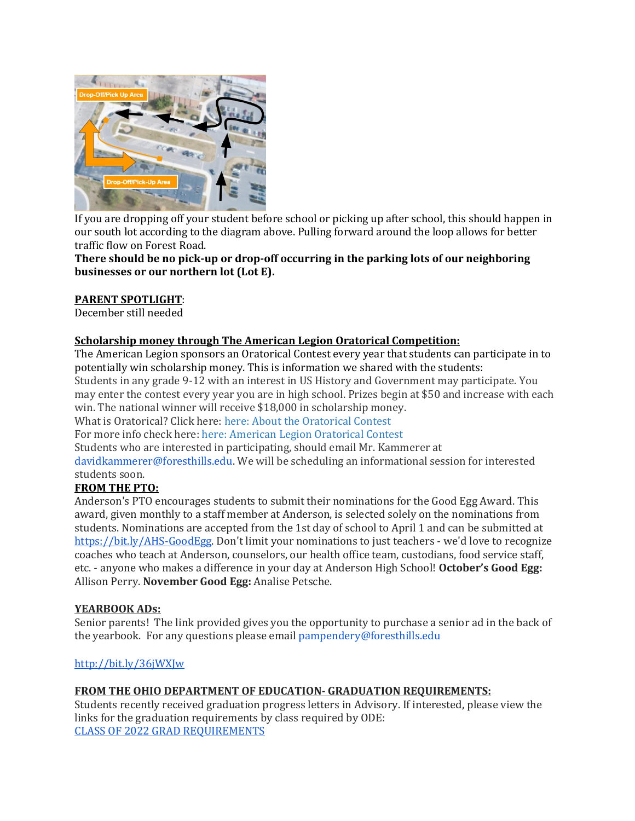

If you are dropping off your student before school or picking up after school, this should happen in our south lot according to the diagram above. Pulling forward around the loop allows for better traffic flow on Forest Road.

**There should be no pick-up or drop-off occurring in the parking lots of our neighboring businesses or our northern lot (Lot E).**

# **PARENT SPOTLIGHT**:

December still needed

# **Scholarship money through The American Legion Oratorical Competition:**

The American Legion sponsors an Oratorical Contest every year that students can participate in to potentially win scholarship money. This is information we shared with the students: Students in any grade 9-12 with an interest in US History and Government may participate. You may enter the contest every year you are in high school. Prizes begin at \$50 and increase with each win. The national winner will receive \$18,000 in scholarship money.

What is Oratorical? Click here: [here: About the Oratorical Contest](https://drive.google.com/file/d/1PDjpv7cAcdfk443mq762JpZaf19gwopi/view?usp=sharing)

For more info check here: [here: American Legion Oratorical Contest](https://www.legion.org/oratorical/about)

Students who are interested in participating, should email Mr. Kammerer at

davidkammerer@foresthills.edu. We will be scheduling an informational session for interested students soon.

# **FROM THE PTO:**

Anderson's PTO encourages students to submit their nominations for the Good Egg Award. This award, given monthly to a staff member at Anderson, is selected solely on the nominations from students. Nominations are accepted from the 1st day of school to April 1 and can be submitted at [https://bit.ly/AHS-GoodEgg.](https://bit.ly/AHS-GoodEgg) Don't limit your nominations to just teachers - we'd love to recognize coaches who teach at Anderson, counselors, our health office team, custodians, food service staff, etc. - anyone who makes a difference in your day at Anderson High School! **October's Good Egg:** Allison Perry. **November Good Egg:** Analise Petsche.

# **YEARBOOK ADs:**

Senior parents! The link provided gives you the opportunity to purchase a senior ad in the back of the yearbook. For any questions please email pampendery@foresthills.edu

# <http://bit.ly/36jWXJw>

# **FROM THE OHIO DEPARTMENT OF EDUCATION- GRADUATION REQUIREMENTS:**

Students recently received graduation progress letters in Advisory. If interested, please view the links for the graduation requirements by class required by ODE: [CLASS OF 2022 GRAD REQUIREMENTS](http://education.ohio.gov/getattachment/Topics/Ohio-s-Graduation-Requirements/Earning-an-Ohio-High-School-Diploma-for-the-Cl-2/GradReq2021.pdf.aspx?lang=en-US)